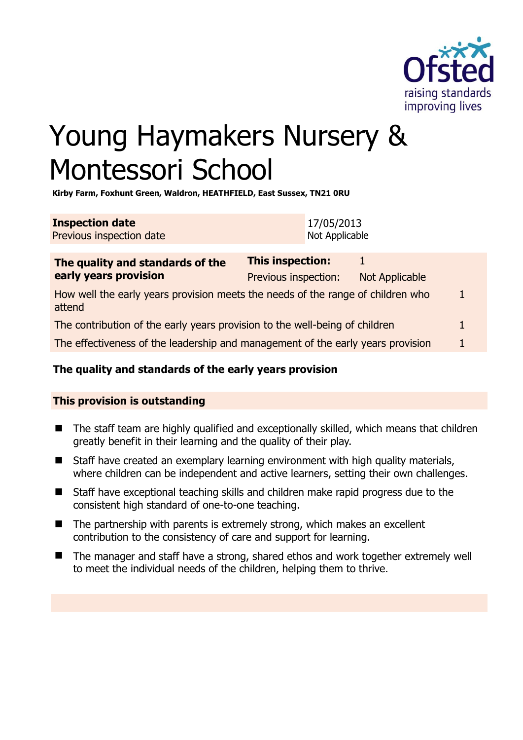

# Young Haymakers Nursery & Montessori School

**Kirby Farm, Foxhunt Green, Waldron, HEATHFIELD, East Sussex, TN21 0RU** 

| <b>Inspection date</b>   | 17/05/2013     |
|--------------------------|----------------|
| Previous inspection date | Not Applicable |

| The quality and standards of the                                                          | <b>This inspection:</b> |                       |   |
|-------------------------------------------------------------------------------------------|-------------------------|-----------------------|---|
| early years provision                                                                     | Previous inspection:    | <b>Not Applicable</b> |   |
| How well the early years provision meets the needs of the range of children who<br>attend |                         |                       |   |
| The contribution of the early years provision to the well-being of children               |                         |                       | 1 |
| The effectiveness of the leadership and management of the early years provision           |                         |                       |   |

# **The quality and standards of the early years provision**

# **This provision is outstanding**

- The staff team are highly qualified and exceptionally skilled, which means that children greatly benefit in their learning and the quality of their play.
- Staff have created an exemplary learning environment with high quality materials, where children can be independent and active learners, setting their own challenges.
- Staff have exceptional teaching skills and children make rapid progress due to the consistent high standard of one-to-one teaching.
- $\blacksquare$  The partnership with parents is extremely strong, which makes an excellent contribution to the consistency of care and support for learning.
- The manager and staff have a strong, shared ethos and work together extremely well to meet the individual needs of the children, helping them to thrive.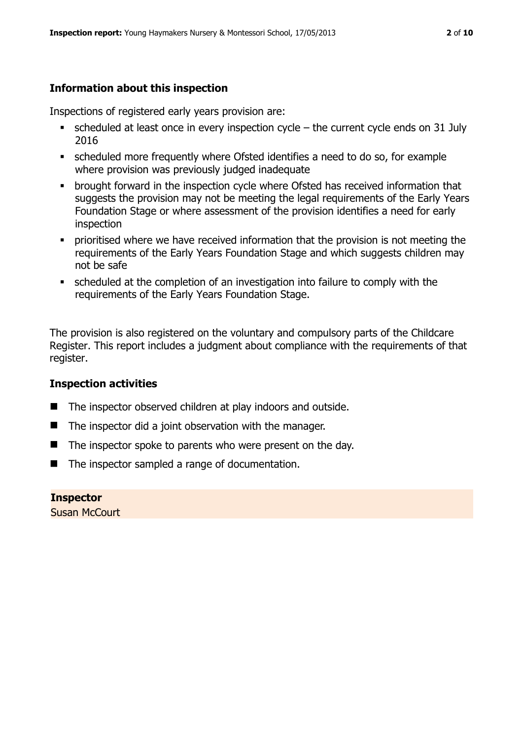# **Information about this inspection**

Inspections of registered early years provision are:

- scheduled at least once in every inspection cycle the current cycle ends on 31 July 2016
- scheduled more frequently where Ofsted identifies a need to do so, for example where provision was previously judged inadequate
- **•** brought forward in the inspection cycle where Ofsted has received information that suggests the provision may not be meeting the legal requirements of the Early Years Foundation Stage or where assessment of the provision identifies a need for early inspection
- **•** prioritised where we have received information that the provision is not meeting the requirements of the Early Years Foundation Stage and which suggests children may not be safe
- scheduled at the completion of an investigation into failure to comply with the requirements of the Early Years Foundation Stage.

The provision is also registered on the voluntary and compulsory parts of the Childcare Register. This report includes a judgment about compliance with the requirements of that register.

# **Inspection activities**

- The inspector observed children at play indoors and outside.
- $\blacksquare$  The inspector did a joint observation with the manager.
- $\blacksquare$  The inspector spoke to parents who were present on the day.
- The inspector sampled a range of documentation.

**Inspector**  Susan McCourt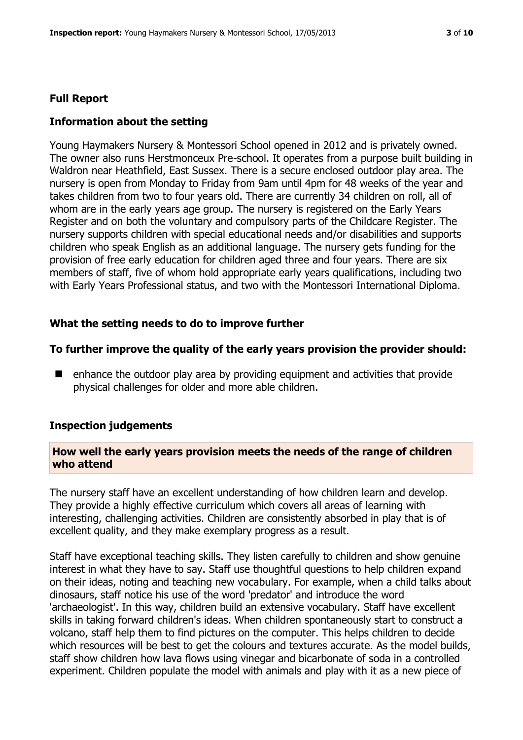#### **Full Report**

#### **Information about the setting**

Young Haymakers Nursery & Montessori School opened in 2012 and is privately owned. The owner also runs Herstmonceux Pre-school. It operates from a purpose built building in Waldron near Heathfield, East Sussex. There is a secure enclosed outdoor play area. The nursery is open from Monday to Friday from 9am until 4pm for 48 weeks of the year and takes children from two to four years old. There are currently 34 children on roll, all of whom are in the early years age group. The nursery is registered on the Early Years Register and on both the voluntary and compulsory parts of the Childcare Register. The nursery supports children with special educational needs and/or disabilities and supports children who speak English as an additional language. The nursery gets funding for the provision of free early education for children aged three and four years. There are six members of staff, five of whom hold appropriate early years qualifications, including two with Early Years Professional status, and two with the Montessori International Diploma.

#### **What the setting needs to do to improve further**

#### **To further improve the quality of the early years provision the provider should:**

 $\blacksquare$  enhance the outdoor play area by providing equipment and activities that provide physical challenges for older and more able children.

#### **Inspection judgements**

#### **How well the early years provision meets the needs of the range of children who attend**

The nursery staff have an excellent understanding of how children learn and develop. They provide a highly effective curriculum which covers all areas of learning with interesting, challenging activities. Children are consistently absorbed in play that is of excellent quality, and they make exemplary progress as a result.

Staff have exceptional teaching skills. They listen carefully to children and show genuine interest in what they have to say. Staff use thoughtful questions to help children expand on their ideas, noting and teaching new vocabulary. For example, when a child talks about dinosaurs, staff notice his use of the word 'predator' and introduce the word 'archaeologist'. In this way, children build an extensive vocabulary. Staff have excellent skills in taking forward children's ideas. When children spontaneously start to construct a volcano, staff help them to find pictures on the computer. This helps children to decide which resources will be best to get the colours and textures accurate. As the model builds, staff show children how lava flows using vinegar and bicarbonate of soda in a controlled experiment. Children populate the model with animals and play with it as a new piece of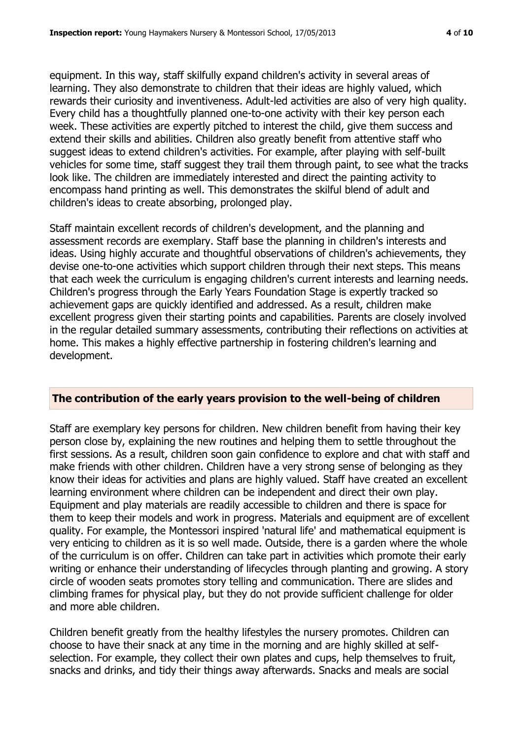equipment. In this way, staff skilfully expand children's activity in several areas of learning. They also demonstrate to children that their ideas are highly valued, which rewards their curiosity and inventiveness. Adult-led activities are also of very high quality. Every child has a thoughtfully planned one-to-one activity with their key person each week. These activities are expertly pitched to interest the child, give them success and extend their skills and abilities. Children also greatly benefit from attentive staff who suggest ideas to extend children's activities. For example, after playing with self-built vehicles for some time, staff suggest they trail them through paint, to see what the tracks look like. The children are immediately interested and direct the painting activity to encompass hand printing as well. This demonstrates the skilful blend of adult and children's ideas to create absorbing, prolonged play.

Staff maintain excellent records of children's development, and the planning and assessment records are exemplary. Staff base the planning in children's interests and ideas. Using highly accurate and thoughtful observations of children's achievements, they devise one-to-one activities which support children through their next steps. This means that each week the curriculum is engaging children's current interests and learning needs. Children's progress through the Early Years Foundation Stage is expertly tracked so achievement gaps are quickly identified and addressed. As a result, children make excellent progress given their starting points and capabilities. Parents are closely involved in the regular detailed summary assessments, contributing their reflections on activities at home. This makes a highly effective partnership in fostering children's learning and development.

#### **The contribution of the early years provision to the well-being of children**

Staff are exemplary key persons for children. New children benefit from having their key person close by, explaining the new routines and helping them to settle throughout the first sessions. As a result, children soon gain confidence to explore and chat with staff and make friends with other children. Children have a very strong sense of belonging as they know their ideas for activities and plans are highly valued. Staff have created an excellent learning environment where children can be independent and direct their own play. Equipment and play materials are readily accessible to children and there is space for them to keep their models and work in progress. Materials and equipment are of excellent quality. For example, the Montessori inspired 'natural life' and mathematical equipment is very enticing to children as it is so well made. Outside, there is a garden where the whole of the curriculum is on offer. Children can take part in activities which promote their early writing or enhance their understanding of lifecycles through planting and growing. A story circle of wooden seats promotes story telling and communication. There are slides and climbing frames for physical play, but they do not provide sufficient challenge for older and more able children.

Children benefit greatly from the healthy lifestyles the nursery promotes. Children can choose to have their snack at any time in the morning and are highly skilled at selfselection. For example, they collect their own plates and cups, help themselves to fruit, snacks and drinks, and tidy their things away afterwards. Snacks and meals are social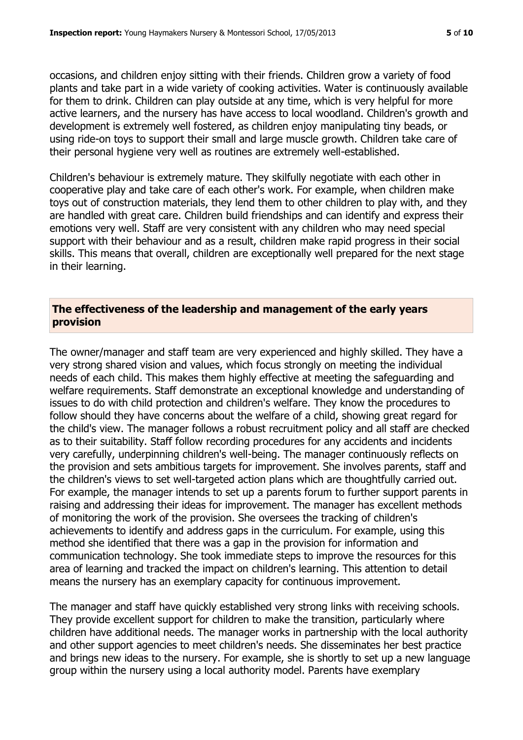occasions, and children enjoy sitting with their friends. Children grow a variety of food plants and take part in a wide variety of cooking activities. Water is continuously available for them to drink. Children can play outside at any time, which is very helpful for more active learners, and the nursery has have access to local woodland. Children's growth and development is extremely well fostered, as children enjoy manipulating tiny beads, or using ride-on toys to support their small and large muscle growth. Children take care of their personal hygiene very well as routines are extremely well-established.

Children's behaviour is extremely mature. They skilfully negotiate with each other in cooperative play and take care of each other's work. For example, when children make toys out of construction materials, they lend them to other children to play with, and they are handled with great care. Children build friendships and can identify and express their emotions very well. Staff are very consistent with any children who may need special support with their behaviour and as a result, children make rapid progress in their social skills. This means that overall, children are exceptionally well prepared for the next stage in their learning.

#### **The effectiveness of the leadership and management of the early years provision**

The owner/manager and staff team are very experienced and highly skilled. They have a very strong shared vision and values, which focus strongly on meeting the individual needs of each child. This makes them highly effective at meeting the safeguarding and welfare requirements. Staff demonstrate an exceptional knowledge and understanding of issues to do with child protection and children's welfare. They know the procedures to follow should they have concerns about the welfare of a child, showing great regard for the child's view. The manager follows a robust recruitment policy and all staff are checked as to their suitability. Staff follow recording procedures for any accidents and incidents very carefully, underpinning children's well-being. The manager continuously reflects on the provision and sets ambitious targets for improvement. She involves parents, staff and the children's views to set well-targeted action plans which are thoughtfully carried out. For example, the manager intends to set up a parents forum to further support parents in raising and addressing their ideas for improvement. The manager has excellent methods of monitoring the work of the provision. She oversees the tracking of children's achievements to identify and address gaps in the curriculum. For example, using this method she identified that there was a gap in the provision for information and communication technology. She took immediate steps to improve the resources for this area of learning and tracked the impact on children's learning. This attention to detail means the nursery has an exemplary capacity for continuous improvement.

The manager and staff have quickly established very strong links with receiving schools. They provide excellent support for children to make the transition, particularly where children have additional needs. The manager works in partnership with the local authority and other support agencies to meet children's needs. She disseminates her best practice and brings new ideas to the nursery. For example, she is shortly to set up a new language group within the nursery using a local authority model. Parents have exemplary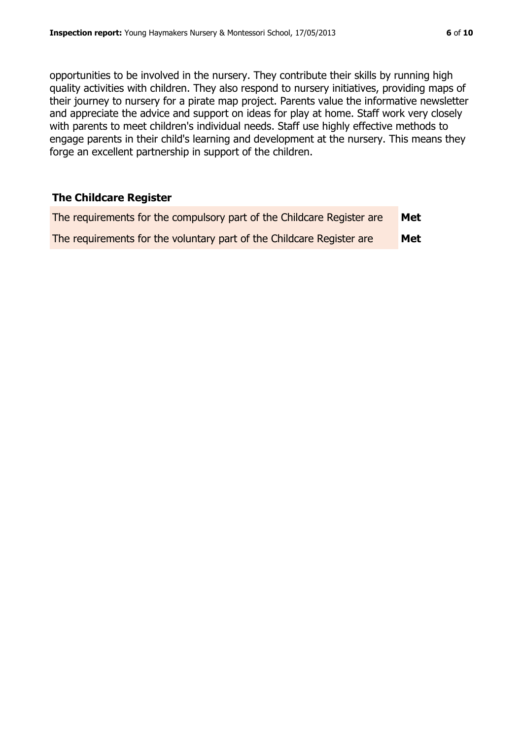opportunities to be involved in the nursery. They contribute their skills by running high quality activities with children. They also respond to nursery initiatives, providing maps of their journey to nursery for a pirate map project. Parents value the informative newsletter and appreciate the advice and support on ideas for play at home. Staff work very closely with parents to meet children's individual needs. Staff use highly effective methods to engage parents in their child's learning and development at the nursery. This means they forge an excellent partnership in support of the children.

#### **The Childcare Register**

| The requirements for the compulsory part of the Childcare Register are | Met |
|------------------------------------------------------------------------|-----|
| The requirements for the voluntary part of the Childcare Register are  | Met |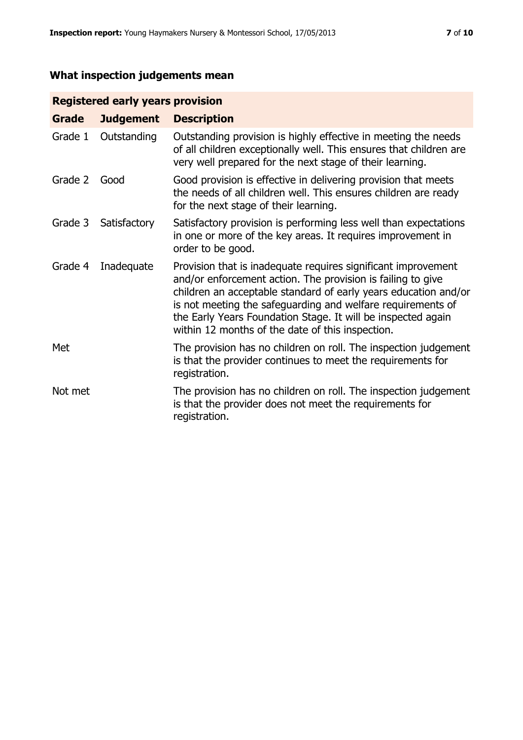# **What inspection judgements mean**

# **Registered early years provision**

| Grade   | <b>Judgement</b> | <b>Description</b>                                                                                                                                                                                                                                                                                                                                                                 |
|---------|------------------|------------------------------------------------------------------------------------------------------------------------------------------------------------------------------------------------------------------------------------------------------------------------------------------------------------------------------------------------------------------------------------|
| Grade 1 | Outstanding      | Outstanding provision is highly effective in meeting the needs<br>of all children exceptionally well. This ensures that children are<br>very well prepared for the next stage of their learning.                                                                                                                                                                                   |
| Grade 2 | Good             | Good provision is effective in delivering provision that meets<br>the needs of all children well. This ensures children are ready<br>for the next stage of their learning.                                                                                                                                                                                                         |
| Grade 3 | Satisfactory     | Satisfactory provision is performing less well than expectations<br>in one or more of the key areas. It requires improvement in<br>order to be good.                                                                                                                                                                                                                               |
| Grade 4 | Inadequate       | Provision that is inadequate requires significant improvement<br>and/or enforcement action. The provision is failing to give<br>children an acceptable standard of early years education and/or<br>is not meeting the safeguarding and welfare requirements of<br>the Early Years Foundation Stage. It will be inspected again<br>within 12 months of the date of this inspection. |
| Met     |                  | The provision has no children on roll. The inspection judgement<br>is that the provider continues to meet the requirements for<br>registration.                                                                                                                                                                                                                                    |
| Not met |                  | The provision has no children on roll. The inspection judgement<br>is that the provider does not meet the requirements for<br>registration.                                                                                                                                                                                                                                        |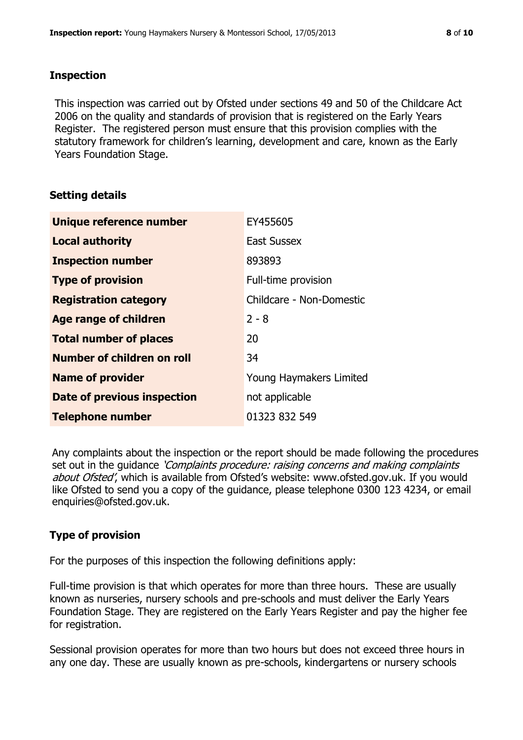#### **Inspection**

This inspection was carried out by Ofsted under sections 49 and 50 of the Childcare Act 2006 on the quality and standards of provision that is registered on the Early Years Register. The registered person must ensure that this provision complies with the statutory framework for children's learning, development and care, known as the Early Years Foundation Stage.

# **Setting details**

| Unique reference number       | EY455605                 |
|-------------------------------|--------------------------|
| <b>Local authority</b>        | <b>East Sussex</b>       |
| <b>Inspection number</b>      | 893893                   |
| <b>Type of provision</b>      | Full-time provision      |
| <b>Registration category</b>  | Childcare - Non-Domestic |
| Age range of children         | $2 - 8$                  |
| <b>Total number of places</b> | 20                       |
| Number of children on roll    | 34                       |
| <b>Name of provider</b>       | Young Haymakers Limited  |
| Date of previous inspection   | not applicable           |
| <b>Telephone number</b>       | 01323 832 549            |

Any complaints about the inspection or the report should be made following the procedures set out in the guidance *'Complaints procedure: raising concerns and making complaints* about Ofsted', which is available from Ofsted's website: www.ofsted.gov.uk. If you would like Ofsted to send you a copy of the guidance, please telephone 0300 123 4234, or email enquiries@ofsted.gov.uk.

# **Type of provision**

For the purposes of this inspection the following definitions apply:

Full-time provision is that which operates for more than three hours. These are usually known as nurseries, nursery schools and pre-schools and must deliver the Early Years Foundation Stage. They are registered on the Early Years Register and pay the higher fee for registration.

Sessional provision operates for more than two hours but does not exceed three hours in any one day. These are usually known as pre-schools, kindergartens or nursery schools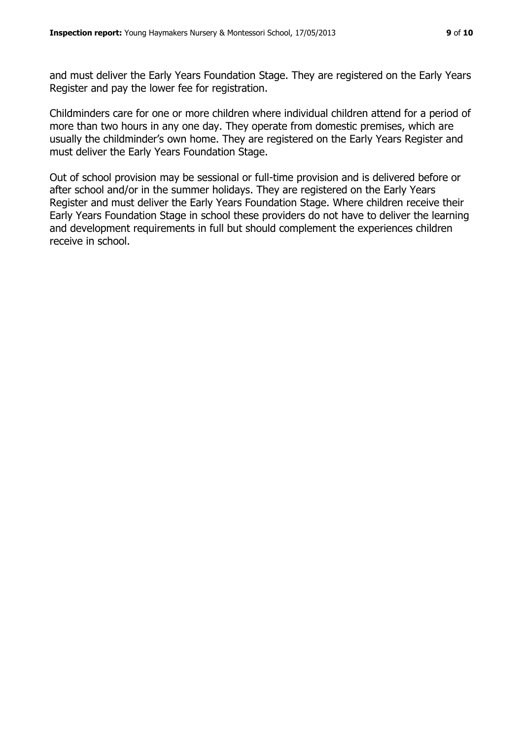and must deliver the Early Years Foundation Stage. They are registered on the Early Years Register and pay the lower fee for registration.

Childminders care for one or more children where individual children attend for a period of more than two hours in any one day. They operate from domestic premises, which are usually the childminder's own home. They are registered on the Early Years Register and must deliver the Early Years Foundation Stage.

Out of school provision may be sessional or full-time provision and is delivered before or after school and/or in the summer holidays. They are registered on the Early Years Register and must deliver the Early Years Foundation Stage. Where children receive their Early Years Foundation Stage in school these providers do not have to deliver the learning and development requirements in full but should complement the experiences children receive in school.